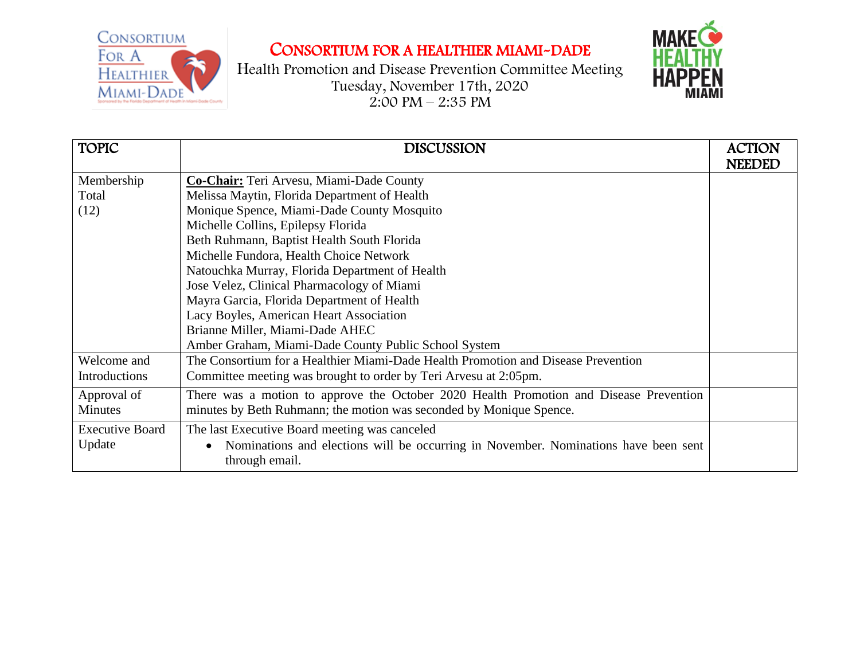

## CONSORTIUM FOR A HEALTHIER MIAMI-DADE

Health Promotion and Disease Prevention Committee Meeting Tuesday, November 17th, 2020  $2:00 \text{ PM} - 2:35 \text{ PM}$ 



| <b>TOPIC</b>           | <b>DISCUSSION</b>                                                                      | <b>ACTION</b> |
|------------------------|----------------------------------------------------------------------------------------|---------------|
|                        |                                                                                        | NEEDED        |
| Membership             | Co-Chair: Teri Arvesu, Miami-Dade County                                               |               |
| Total                  | Melissa Maytin, Florida Department of Health                                           |               |
| (12)                   | Monique Spence, Miami-Dade County Mosquito                                             |               |
|                        | Michelle Collins, Epilepsy Florida                                                     |               |
|                        | Beth Ruhmann, Baptist Health South Florida                                             |               |
|                        | Michelle Fundora, Health Choice Network                                                |               |
|                        | Natouchka Murray, Florida Department of Health                                         |               |
|                        | Jose Velez, Clinical Pharmacology of Miami                                             |               |
|                        | Mayra Garcia, Florida Department of Health                                             |               |
|                        | Lacy Boyles, American Heart Association                                                |               |
|                        | Brianne Miller, Miami-Dade AHEC                                                        |               |
|                        | Amber Graham, Miami-Dade County Public School System                                   |               |
| Welcome and            | The Consortium for a Healthier Miami-Dade Health Promotion and Disease Prevention      |               |
| <b>Introductions</b>   | Committee meeting was brought to order by Teri Arvesu at 2:05pm.                       |               |
| Approval of            | There was a motion to approve the October 2020 Health Promotion and Disease Prevention |               |
| Minutes                | minutes by Beth Ruhmann; the motion was seconded by Monique Spence.                    |               |
| <b>Executive Board</b> | The last Executive Board meeting was canceled                                          |               |
| Update                 | Nominations and elections will be occurring in November. Nominations have been sent    |               |
|                        | through email.                                                                         |               |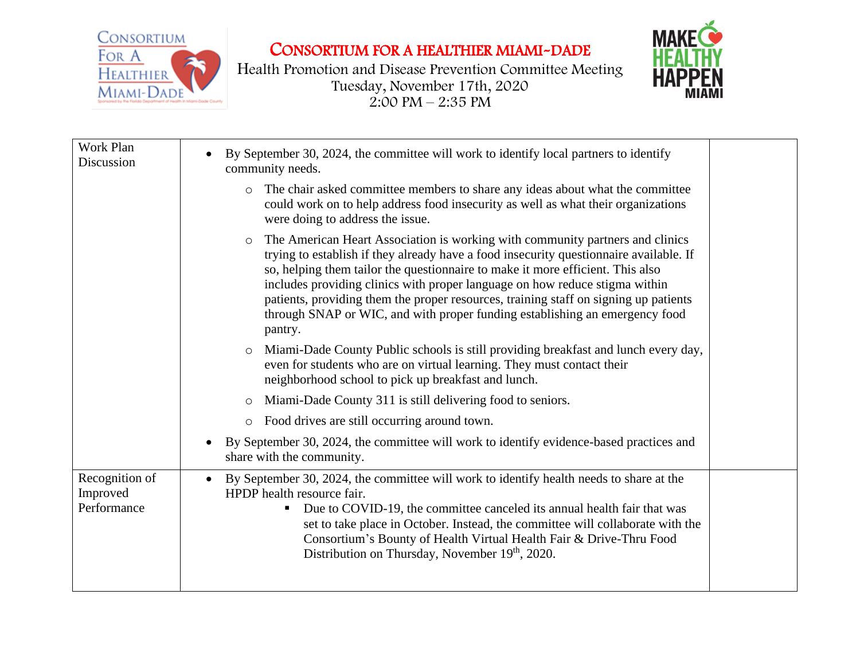

CONSORTIUM FOR A HEALTHIER MIAMI-DADE

Health Promotion and Disease Prevention Committee Meeting Tuesday, November 17th, 2020  $2:00 \text{ PM} - 2:35 \text{ PM}$ 



| By September 30, 2024, the committee will work to identify local partners to identify<br>community needs.                                                                                                                                                                                                                                                                                                                                                                                                                             |  |
|---------------------------------------------------------------------------------------------------------------------------------------------------------------------------------------------------------------------------------------------------------------------------------------------------------------------------------------------------------------------------------------------------------------------------------------------------------------------------------------------------------------------------------------|--|
| The chair asked committee members to share any ideas about what the committee<br>$\circ$<br>could work on to help address food insecurity as well as what their organizations<br>were doing to address the issue.                                                                                                                                                                                                                                                                                                                     |  |
| The American Heart Association is working with community partners and clinics<br>$\circ$<br>trying to establish if they already have a food insecurity questionnaire available. If<br>so, helping them tailor the questionnaire to make it more efficient. This also<br>includes providing clinics with proper language on how reduce stigma within<br>patients, providing them the proper resources, training staff on signing up patients<br>through SNAP or WIC, and with proper funding establishing an emergency food<br>pantry. |  |
| Miami-Dade County Public schools is still providing breakfast and lunch every day,<br>$\circ$<br>even for students who are on virtual learning. They must contact their<br>neighborhood school to pick up breakfast and lunch.                                                                                                                                                                                                                                                                                                        |  |
| Miami-Dade County 311 is still delivering food to seniors.<br>$\circ$                                                                                                                                                                                                                                                                                                                                                                                                                                                                 |  |
| Food drives are still occurring around town.<br>$\circ$                                                                                                                                                                                                                                                                                                                                                                                                                                                                               |  |
| By September 30, 2024, the committee will work to identify evidence-based practices and<br>share with the community.                                                                                                                                                                                                                                                                                                                                                                                                                  |  |
| By September 30, 2024, the committee will work to identify health needs to share at the<br>$\bullet$<br>HPDP health resource fair.<br>Due to COVID-19, the committee canceled its annual health fair that was<br>set to take place in October. Instead, the committee will collaborate with the<br>Consortium's Bounty of Health Virtual Health Fair & Drive-Thru Food<br>Distribution on Thursday, November 19th, 2020.                                                                                                              |  |
|                                                                                                                                                                                                                                                                                                                                                                                                                                                                                                                                       |  |